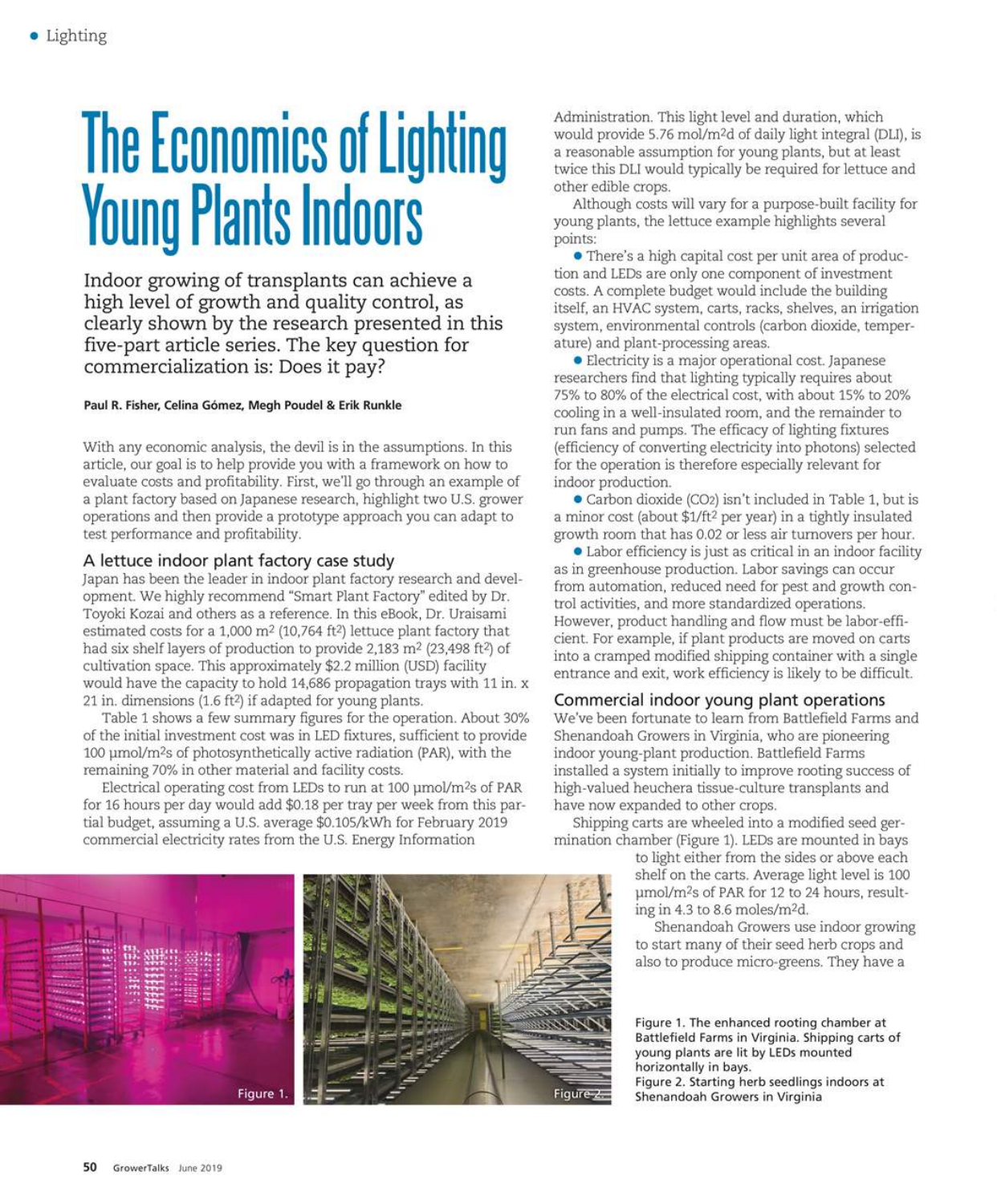# The Economics of Lighting **Young Plants Indoors**

Indoor growing of transplants can achieve a high level of growth and quality control, as clearly shown by the research presented in this five-part article series. The key question for commercialization is: Does it pay?

#### Paul R. Fisher, Celina Gómez, Megh Poudel & Erik Runkle

With any economic analysis, the devil is in the assumptions. In this article, our goal is to help provide you with a framework on how to evaluate costs and profitability. First, we'll go through an example of a plant factory based on Japanese research, highlight two U.S. grower operations and then provide a prototype approach you can adapt to test performance and profitability.

# A lettuce indoor plant factory case study

Japan has been the leader in indoor plant factory research and development. We highly recommend "Smart Plant Factory" edited by Dr. Toyoki Kozai and others as a reference. In this eBook, Dr. Uraisami estimated costs for a  $1,000$  m<sup>2</sup> (10,764 ft<sup>2</sup>) lettuce plant factory that had six shelf layers of production to provide 2,183 m<sup>2</sup> (23,498 ft<sup>2</sup>) of cultivation space. This approximately \$2.2 million (USD) facility would have the capacity to hold 14,686 propagation trays with 11 in. x 21 in. dimensions (1.6 ft<sup>2</sup>) if adapted for young plants.

Table 1 shows a few summary figures for the operation. About 30% of the initial investment cost was in LED fixtures, sufficient to provide 100 umol/m<sup>2</sup>s of photosynthetically active radiation (PAR), with the remaining 70% in other material and facility costs.

Electrical operating cost from LEDs to run at 100 umol/m<sup>2</sup>s of PAR for 16 hours per day would add \$0.18 per tray per week from this partial budget, assuming a U.S. average \$0.105/kWh for February 2019 commercial electricity rates from the U.S. Energy Information

Administration. This light level and duration, which would provide 5.76 mol/m<sup>2</sup>d of daily light integral (DLI), is a reasonable assumption for young plants, but at least twice this DLI would typically be required for lettuce and other edible crops.

Although costs will vary for a purpose-built facility for young plants, the lettuce example highlights several points:

• There's a high capital cost per unit area of production and LEDs are only one component of investment costs. A complete budget would include the building itself, an HVAC system, carts, racks, shelves, an irrigation system, environmental controls (carbon dioxide, temperature) and plant-processing areas.

• Electricity is a major operational cost. Japanese researchers find that lighting typically requires about 75% to 80% of the electrical cost, with about 15% to 20% cooling in a well-insulated room, and the remainder to run fans and pumps. The efficacy of lighting fixtures (efficiency of converting electricity into photons) selected for the operation is therefore especially relevant for indoor production.

Carbon dioxide (CO2) isn't included in Table 1, but is a minor cost (about \$1/ft<sup>2</sup> per year) in a tightly insulated growth room that has 0.02 or less air turnovers per hour.

• Labor efficiency is just as critical in an indoor facility as in greenhouse production. Labor savings can occur from automation, reduced need for pest and growth control activities, and more standardized operations. However, product handling and flow must be labor-efficient. For example, if plant products are moved on carts into a cramped modified shipping container with a single entrance and exit, work efficiency is likely to be difficult.

### Commercial indoor young plant operations

We've been fortunate to learn from Battlefield Farms and Shenandoah Growers in Virginia, who are pioneering indoor young-plant production. Battlefield Farms installed a system initially to improve rooting success of high-valued heuchera tissue-culture transplants and have now expanded to other crops.

Shipping carts are wheeled into a modified seed germination chamber (Figure 1). LEDs are mounted in bays

to light either from the sides or above each shelf on the carts. Average light level is 100 umol/m<sup>2</sup>s of PAR for 12 to 24 hours, resulting in 4.3 to 8.6 moles/m<sup>2</sup>d.

Shenandoah Growers use indoor growing to start many of their seed herb crops and also to produce micro-greens. They have a

Figure 1. The enhanced rooting chamber at Battlefield Farms in Virginia. Shipping carts of young plants are lit by LEDs mounted horizontally in bays. Figure 2. Starting herb seedlings indoors at Shenandoah Growers in Virginia

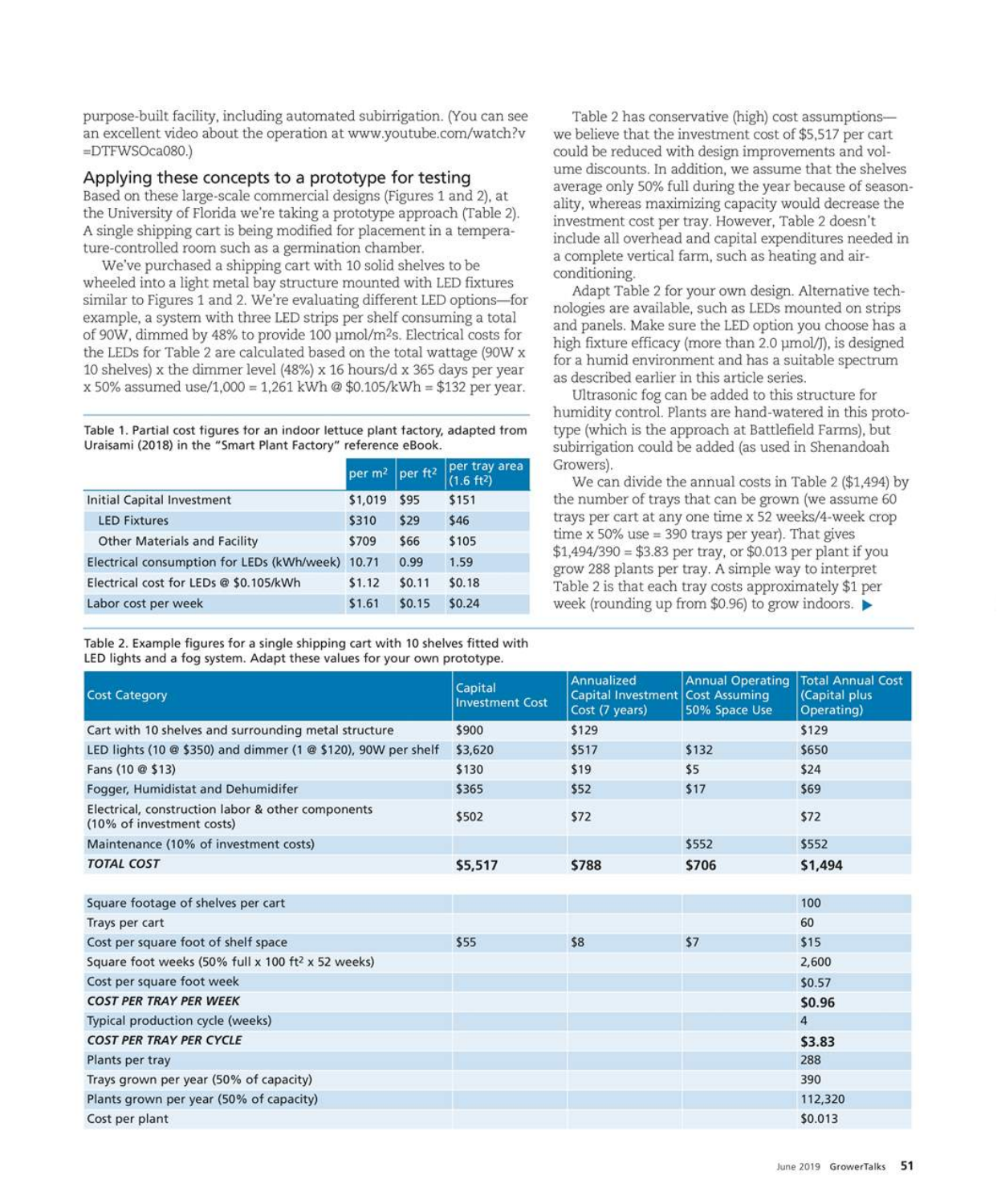purpose-built facility, including automated subirrigation. (You can see an excellent video about the operation at www.youtube.com/watch?v =DTFWSOca080.)

# Applying these concepts to a prototype for testing

Based on these large-scale commercial designs (Figures 1 and 2), at the University of Florida we're taking a prototype approach (Table 2). A single shipping cart is being modified for placement in a temperature-controlled room such as a germination chamber.

We've purchased a shipping cart with 10 solid shelves to be wheeled into a light metal bay structure mounted with LED fixtures similar to Figures 1 and 2. We're evaluating different LED options-for example, a system with three LED strips per shelf consuming a total of 90W, dimmed by 48% to provide 100 µmol/m<sup>2</sup>s. Electrical costs for the LEDs for Table 2 are calculated based on the total wattage (90W x 10 shelves) x the dimmer level (48%) x 16 hours/d x 365 days per year x 50% assumed use/1,000 = 1,261 kWh @ \$0.105/kWh = \$132 per year.

Table 1. Partial cost figures for an indoor lettuce plant factory, adapted from Uraisami (2018) in the "Smart Plant Factory" reference eBook.

|                                            | per $m^2$   per ft <sup>2</sup> |        | per tray area<br>(1.6 ft <sup>2</sup> ) |
|--------------------------------------------|---------------------------------|--------|-----------------------------------------|
| Initial Capital Investment                 | \$1,019                         | \$95   | \$151                                   |
| <b>LED Fixtures</b>                        | \$310                           | \$29   | \$46                                    |
| <b>Other Materials and Facility</b>        | \$709                           | \$66   | \$105                                   |
| Electrical consumption for LEDs (kWh/week) | 10.71                           | 0.99   | 1.59                                    |
| Electrical cost for LEDs @ \$0.105/kWh     | \$1.12                          | \$0.11 | \$0.18                                  |
| Labor cost per week                        | \$1.61                          | \$0.15 | \$0.24                                  |

Table 2. Example figures for a single shipping cart with 10 shelves fitted with LED lights and a fog system. Adapt these values for your own prototype.

Table 2 has conservative (high) cost assumptionswe believe that the investment cost of \$5,517 per cart could be reduced with design improvements and volume discounts. In addition, we assume that the shelves average only 50% full during the year because of seasonality, whereas maximizing capacity would decrease the investment cost per tray. However, Table 2 doesn't include all overhead and capital expenditures needed in a complete vertical farm, such as heating and airconditioning.

Adapt Table 2 for your own design. Alternative technologies are available, such as LEDs mounted on strips and panels. Make sure the LED option you choose has a high fixture efficacy (more than 2.0 µmol/J), is designed for a humid environment and has a suitable spectrum as described earlier in this article series.

Ultrasonic fog can be added to this structure for humidity control. Plants are hand-watered in this prototype (which is the approach at Battlefield Farms), but subirrigation could be added (as used in Shenandoah Growers).

We can divide the annual costs in Table 2 (\$1,494) by the number of trays that can be grown (we assume 60 trays per cart at any one time x 52 weeks/4-week crop time  $x$  50% use = 390 trays per year). That gives  $$1,494/390 = $3.83$  per tray, or \$0.013 per plant if you grow 288 plants per tray. A simple way to interpret Table 2 is that each tray costs approximately \$1 per week (rounding up from \$0.96) to grow indoors.  $\blacktriangleright$ 

| <b>Cost Category</b>                                                           | Capital<br><b>Investment Cost</b> | Annualized<br>Capital Investment<br>Cost (7 years) | <b>Annual Operating</b><br><b>Cost Assuming</b><br>50% Space Use | <b>Total Annual Cost</b><br>(Capital plus<br>Operating) |
|--------------------------------------------------------------------------------|-----------------------------------|----------------------------------------------------|------------------------------------------------------------------|---------------------------------------------------------|
| Cart with 10 shelves and surrounding metal structure                           | \$900                             | \$129                                              |                                                                  | \$129                                                   |
| LED lights (10 @ \$350) and dimmer (1 @ \$120), 90W per shelf                  | \$3,620                           | \$517                                              | \$132                                                            | \$650                                                   |
| Fans (10 @ \$13)                                                               | \$130                             | \$19                                               | \$5                                                              | \$24                                                    |
| Fogger, Humidistat and Dehumidifer                                             | \$365                             | \$52                                               | \$17                                                             | \$69                                                    |
| Electrical, construction labor & other components<br>(10% of investment costs) | \$502                             | \$72                                               |                                                                  | \$72                                                    |
| Maintenance (10% of investment costs)                                          |                                   |                                                    | \$552                                                            | \$552                                                   |
| <b>TOTAL COST</b>                                                              | \$5,517                           | \$788                                              | \$706                                                            | \$1,494                                                 |
| Square footage of shelves per cart                                             |                                   |                                                    |                                                                  | 100                                                     |
| Trays per cart                                                                 |                                   |                                                    |                                                                  | 60                                                      |
| Cost per square foot of shelf space                                            | \$55                              | \$8                                                | \$7                                                              | \$15                                                    |
| Square foot weeks (50% full x 100 ft <sup>2</sup> x 52 weeks)                  |                                   |                                                    |                                                                  | 2,600                                                   |
| Cost per square foot week                                                      |                                   |                                                    |                                                                  | \$0.57                                                  |
| <b>COST PER TRAY PER WEEK</b>                                                  |                                   |                                                    |                                                                  | \$0.96                                                  |
| Typical production cycle (weeks)                                               |                                   |                                                    |                                                                  | 4                                                       |
| <b>COST PER TRAY PER CYCLE</b>                                                 |                                   |                                                    |                                                                  | \$3.83                                                  |
| Plants per tray                                                                |                                   |                                                    |                                                                  | 288                                                     |
| Trays grown per year (50% of capacity)                                         |                                   |                                                    |                                                                  | 390                                                     |
| Plants grown per year (50% of capacity)                                        |                                   |                                                    |                                                                  | 112,320                                                 |
| Cost per plant                                                                 |                                   |                                                    |                                                                  | \$0.013                                                 |